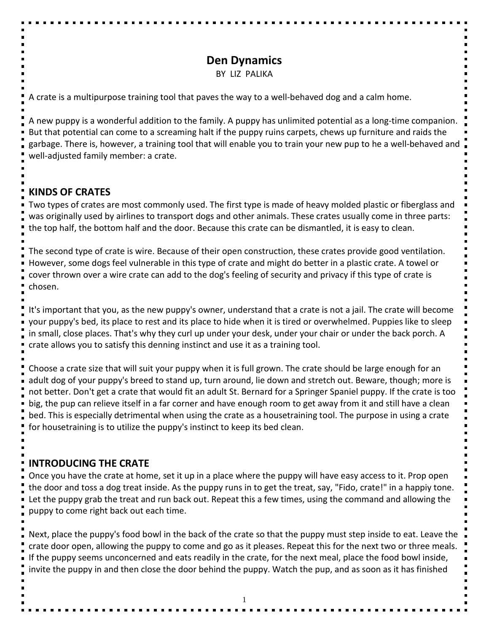# **Den Dynamics**

BY LIZ PALIKA

A crate is a multipurpose training tool that paves the way to a well-behaved dog and a calm home.

A new puppy is a wonderful addition to the family. A puppy has unlimited potential as a long-time companion. But that potential can come to a screaming halt if the puppy ruins carpets, chews up furniture and raids the garbage. There is, however, a training tool that will enable you to train your new pup to he a well-behaved and well-adjusted family member: a crate.

#### **KINDS OF CRATES**

Two types of crates are most commonly used. The first type is made of heavy molded plastic or fiberglass and was originally used by airlines to transport dogs and other animals. These crates usually come in three parts: the top half, the bottom half and the door. Because this crate can be dismantled, it is easy to clean.

The second type of crate is wire. Because of their open construction, these crates provide good ventilation. However, some dogs feel vulnerable in this type of crate and might do better in a plastic crate. A towel or cover thrown over a wire crate can add to the dog's feeling of security and privacy if this type of crate is chosen.

It's important that you, as the new puppy's owner, understand that a crate is not a jail. The crate will become your puppy's bed, its place to rest and its place to hide when it is tired or overwhelmed. Puppies like to sleep in small, close places. That's why they curl up under your desk, under your chair or under the back porch. A crate allows you to satisfy this denning instinct and use it as a training tool.

Choose a crate size that will suit your puppy when it is full grown. The crate should be large enough for an adult dog of your puppy's breed to stand up, turn around, lie down and stretch out. Beware, though; more is not better. Don't get a crate that would fit an adult St. Bernard for a Springer Spaniel puppy. If the crate is too big, the pup can relieve itself in a far corner and have enough room to get away from it and still have a clean bed. This is especially detrimental when using the crate as a housetraining tool. The purpose in using a crate for housetraining is to utilize the puppy's instinct to keep its bed clean.

### **INTRODUCING THE CRATE**

Once you have the crate at home, set it up in a place where the puppy will have easy access to it. Prop open the door and toss a dog treat inside. As the puppy runs in to get the treat, say, "Fido, crate!" in a happiy tone. Let the puppy grab the treat and run back out. Repeat this a few times, using the command and allowing the puppy to come right back out each time.

Next, place the puppy's food bowl in the back of the crate so that the puppy must step inside to eat. Leave the crate door open, allowing the puppy to come and go as it pleases. Repeat this for the next two or three meals. If the puppy seems unconcerned and eats readily in the crate, for the next meal, place the food bowl inside, invite the puppy in and then close the door behind the puppy. Watch the pup, and as soon as it has finished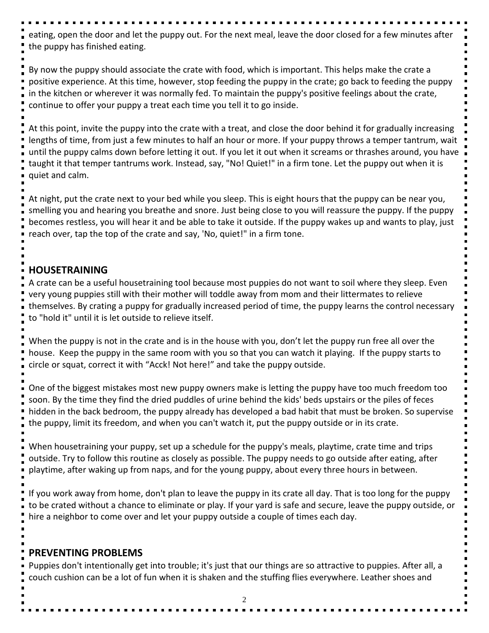eating, open the door and let the puppy out. For the next meal, leave the door closed for a few minutes after the puppy has finished eating.

By now the puppy should associate the crate with food, which is important. This helps make the crate a positive experience. At this time, however, stop feeding the puppy in the crate; go back to feeding the puppy in the kitchen or wherever it was normally fed. To maintain the puppy's positive feelings about the crate, continue to offer your puppy a treat each time you tell it to go inside.

At this point, invite the puppy into the crate with a treat, and close the door behind it for gradually increasing lengths of time, from just a few minutes to half an hour or more. If your puppy throws a temper tantrum, wait until the puppy calms down before letting it out. If you let it out when it screams or thrashes around, you have taught it that temper tantrums work. Instead, say, "No! Quiet!" in a firm tone. Let the puppy out when it is quiet and calm.

At night, put the crate next to your bed while you sleep. This is eight hours that the puppy can be near you, smelling you and hearing you breathe and snore. Just being close to you will reassure the puppy. If the puppy becomes restless, you will hear it and be able to take it outside. If the puppy wakes up and wants to play, just reach over, tap the top of the crate and say, 'No, quiet!" in a firm tone.

## **HOUSETRAINING**

A crate can be a useful housetraining tool because most puppies do not want to soil where they sleep. Even very young puppies still with their mother will toddle away from mom and their littermates to relieve themselves. By crating a puppy for gradually increased period of time, the puppy learns the control necessary to "hold it" until it is let outside to relieve itself.

When the puppy is not in the crate and is in the house with you, don't let the puppy run free all over the house. Keep the puppy in the same room with you so that you can watch it playing. If the puppy starts to circle or squat, correct it with "Acck! Not here!" and take the puppy outside.

One of the biggest mistakes most new puppy owners make is letting the puppy have too much freedom too soon. By the time they find the dried puddles of urine behind the kids' beds upstairs or the piles of feces hidden in the back bedroom, the puppy already has developed a bad habit that must be broken. So supervise the puppy, limit its freedom, and when you can't watch it, put the puppy outside or in its crate.

When housetraining your puppy, set up a schedule for the puppy's meals, playtime, crate time and trips outside. Try to follow this routine as closely as possible. The puppy needs to go outside after eating, after playtime, after waking up from naps, and for the young puppy, about every three hours in between.

If you work away from home, don't plan to leave the puppy in its crate all day. That is too long for the puppy to be crated without a chance to eliminate or play. If your yard is safe and secure, leave the puppy outside, or hire a neighbor to come over and let your puppy outside a couple of times each day.

### **PREVENTING PROBLEMS**

Puppies don't intentionally get into trouble; it's just that our things are so attractive to puppies. After all, a couch cushion can be a lot of fun when it is shaken and the stuffing flies everywhere. Leather shoes and

2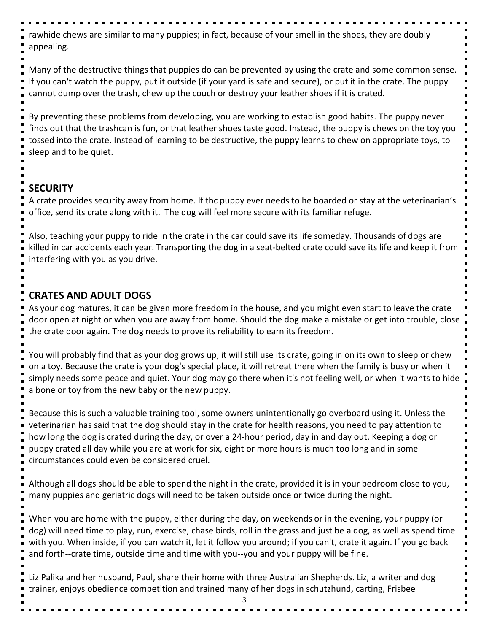rawhide chews are similar to many puppies; in fact, because of your smell in the shoes, they are doubly appealing.

Many of the destructive things that puppies do can be prevented by using the crate and some common sense. If you can't watch the puppy, put it outside (if your yard is safe and secure), or put it in the crate. The puppy cannot dump over the trash, chew up the couch or destroy your leather shoes if it is crated.

By preventing these problems from developing, you are working to establish good habits. The puppy never finds out that the trashcan is fun, or that leather shoes taste good. Instead, the puppy is chews on the toy you tossed into the crate. Instead of learning to be destructive, the puppy learns to chew on appropriate toys, to sleep and to be quiet.

## **SECURITY**

A crate provides security away from home. If thc puppy ever needs to he boarded or stay at the veterinarian's office, send its crate along with it. The dog will feel more secure with its familiar refuge.

Also, teaching your puppy to ride in the crate in the car could save its life someday. Thousands of dogs are killed in car accidents each year. Transporting the dog in a seat-belted crate could save its life and keep it from interfering with you as you drive.

### **CRATES AND ADULT DOGS**

As your dog matures, it can be given more freedom in the house, and you might even start to leave the crate door open at night or when you are away from home. Should the dog make a mistake or get into trouble, close the crate door again. The dog needs to prove its reliability to earn its freedom.

You will probably find that as your dog grows up, it will still use its crate, going in on its own to sleep or chew on a toy. Because the crate is your dog's special place, it will retreat there when the family is busy or when it simply needs some peace and quiet. Your dog may go there when it's not feeling well, or when it wants to hide a bone or toy from the new baby or the new puppy.

Because this is such a valuable training tool, some owners unintentionally go overboard using it. Unless the veterinarian has said that the dog should stay in the crate for health reasons, you need to pay attention to how long the dog is crated during the day, or over a 24-hour period, day in and day out. Keeping a dog or puppy crated all day while you are at work for six, eight or more hours is much too long and in some circumstances could even be considered cruel.

Although all dogs should be able to spend the night in the crate, provided it is in your bedroom close to you, many puppies and geriatric dogs will need to be taken outside once or twice during the night.

When you are home with the puppy, either during the day, on weekends or in the evening, your puppy (or dog) will need time to play, run, exercise, chase birds, roll in the grass and just be a dog, as well as spend time with you. When inside, if you can watch it, let it follow you around; if you can't, crate it again. If you go back and forth--crate time, outside time and time with you--you and your puppy will be fine.

Liz Palika and her husband, Paul, share their home with three Australian Shepherds. Liz, a writer and dog trainer, enjoys obedience competition and trained many of her dogs in schutzhund, carting, Frisbee